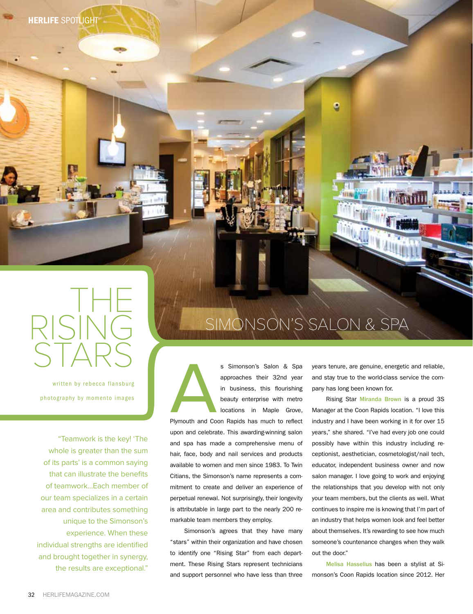**HERLIFE SPOTLIGHT** 



written by rebecca flansburg photography by momento images

"Teamwork is the key! 'The whole is greater than the sum of its parts' is a common saying that can illustrate the benefits of teamwork…Each member of our team specializes in a certain area and contributes something unique to the Simonson's experience. When these individual strengths are identified and brought together in synergy, the results are exceptional."



s Simonson's Salon & Spa<br>approaches their 32nd year<br>in business, this flourishing<br>beauty enterprise with metro<br>locations in Maple Grove,<br>Plymouth and Coon Rapids has much to reflect approaches their 32nd year in business, this flourishing beauty enterprise with metro locations in Maple Grove, Plymouth and Coon Rapids has much to reflect upon and celebrate. This awarding-winning salon and spa has made a comprehensive menu of hair, face, body and nail services and products

available to women and men since 1983. To Twin Citians, the Simonson's name represents a commitment to create and deliver an experience of perpetual renewal. Not surprisingly, their longevity is attributable in large part to the nearly 200 remarkable team members they employ.

Simonson's agrees that they have many "stars" within their organization and have chosen to identify one "Rising Star" from each department. These Rising Stars represent technicians and support personnel who have less than three

years tenure, are genuine, energetic and reliable, and stay true to the world-class service the company has long been known for.

Rising Star Miranda Brown is a proud 3S Manager at the Coon Rapids location. "I love this industry and I have been working in it for over 15 years," she shared. "I've had every job one could possibly have within this industry including receptionist, aesthetician, cosmetologist/nail tech, educator, independent business owner and now salon manager. I love going to work and enjoying the relationships that you develop with not only your team members, but the clients as well. What continues to inspire me is knowing that I'm part of an industry that helps women look and feel better about themselves. It's rewarding to see how much someone's countenance changes when they walk out the door."

Melisa Hasselius has been a stylist at Simonson's Coon Rapids location since 2012. Her